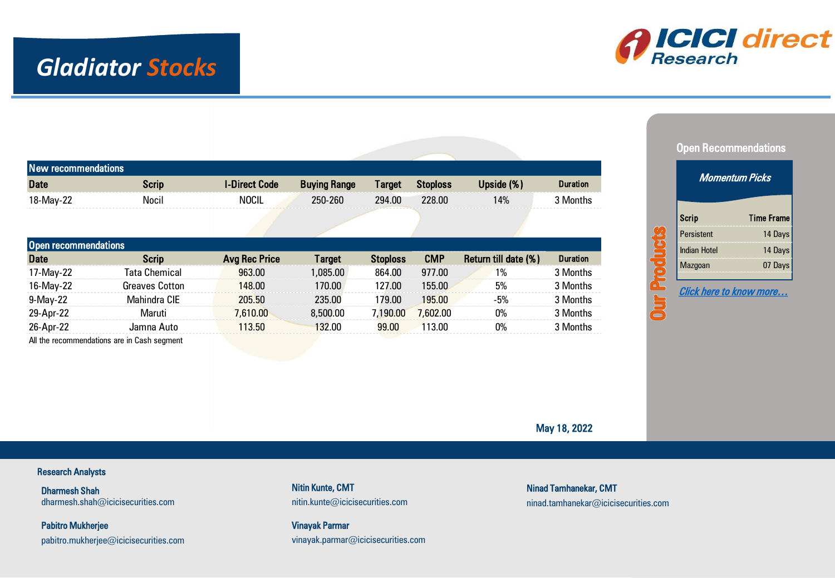## *Gladiator Stocks*



| <b>New recommendations</b>  |                       |                      |                     |                 |                 |                      |                 |
|-----------------------------|-----------------------|----------------------|---------------------|-----------------|-----------------|----------------------|-----------------|
| <b>Date</b>                 | <b>Scrip</b>          | <b>I-Direct Code</b> | <b>Buying Range</b> | <b>Target</b>   | <b>Stoploss</b> | Upside (%)           | <b>Duration</b> |
| 18-May-22                   | Nocil                 | <b>NOCIL</b>         | 250-260             | 294.00          | 228.00          | 14%                  | 3 Months        |
|                             |                       |                      |                     |                 |                 |                      |                 |
|                             |                       |                      |                     |                 |                 |                      |                 |
| <b>Open recommendations</b> |                       |                      |                     |                 |                 |                      |                 |
| <b>Date</b>                 | <b>Scrip</b>          | <b>Avg Rec Price</b> | <b>Target</b>       | <b>Stoploss</b> | <b>CMP</b>      | Return till date (%) | <b>Duration</b> |
| 17-May-22                   | Tata Chemical         | 963.00               | 1,085.00            | 864.00          | 977.00          | 1%                   | 3 Months        |
| 16-May-22                   | <b>Greaves Cotton</b> | 148.00               | 170.00              | 127.00          | 155.00          | 5%                   | 3 Months        |
| $9-May-22$                  | <b>Mahindra CIE</b>   | 205.50               | 235.00              | 179.00          | 195.00          | $-5%$                | 3 Months        |
| 29-Apr-22                   | Maruti                | 7.610.00             | 8,500,00            | 7,190.00        | 7,602.00        | 0%                   | 3 Months        |
| 26-Apr-22                   | Jamna Auto            | 113.50               | 132.00              | 99.00           | 113.00          | 0%                   | 3 Months        |
|                             |                       |                      |                     |                 |                 |                      |                 |

All the recommendations are in Cash segment



ICICI Securities

May 18, 2022

#### Research Analysts

Dharmesh Shah dharmesh.shah@icicisecurities.com

<span id="page-0-0"></span>Pabitro Mukherjee pabitro.mukherjee@icicisecurities.com Nitin Kunte, CMT nitin.kunte@icicisecurities.com

Vinayak Parmar vinayak.parmar@icicisecurities.com Ninad Tamhanekar, CMT ninad.tamhanekar@icicisecurities.com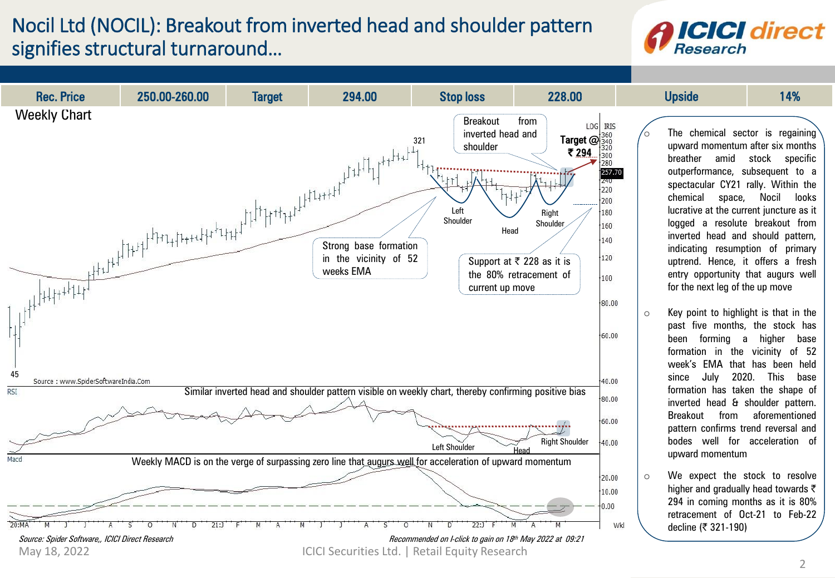#### Nocil Ltd (NOCIL): Breakout from inverted head and shoulder pattern signifies structural turnaround…

#### **ICICI** direct Research

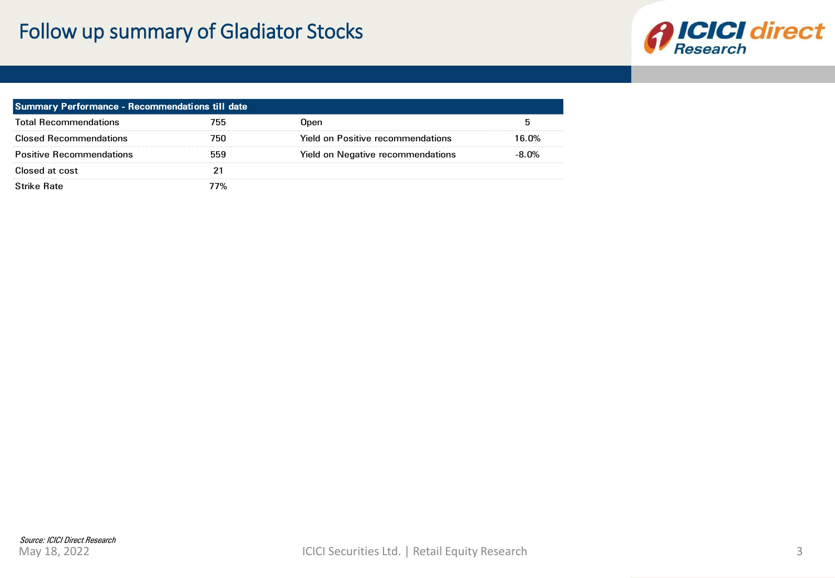### Follow up summary of Gladiator Stocks



<span id="page-2-0"></span>

| Summary Performance - Recommendations till date |     |                                          |          |  |  |  |
|-------------------------------------------------|-----|------------------------------------------|----------|--|--|--|
| <b>Total Recommendations</b>                    | 755 | Open                                     |          |  |  |  |
| <b>Closed Recommendations</b>                   | 750 | <b>Yield on Positive recommendations</b> | 16.0%    |  |  |  |
| <b>Positive Recommendations</b>                 | 559 | Yield on Negative recommendations        | $-8.0\%$ |  |  |  |
| Closed at cost                                  |     |                                          |          |  |  |  |
| <b>Strike Rate</b>                              | 77% |                                          |          |  |  |  |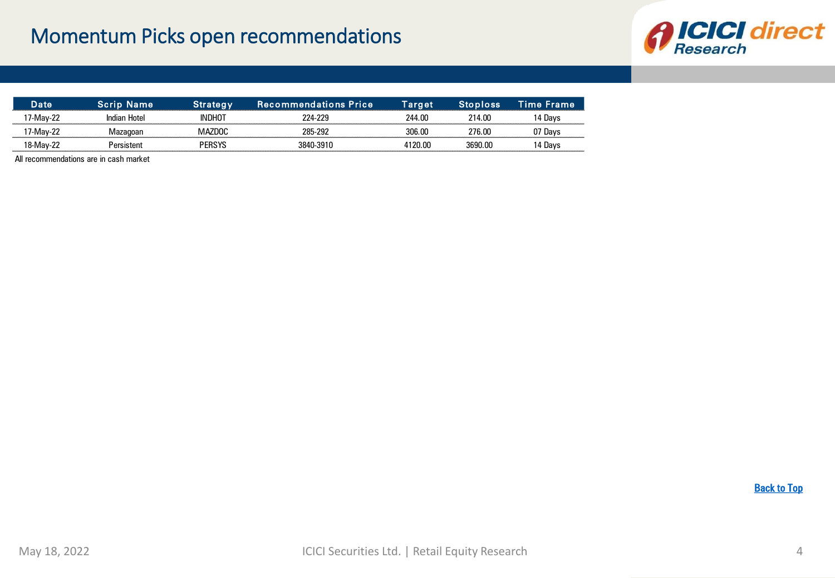

| ate      |                |        | Recommendations Price. | <b>Farget</b> | oloss   | Time Frame |
|----------|----------------|--------|------------------------|---------------|---------|------------|
| /-Mav-∶  | Indian Hotel   | INDHO. | 771.770                | 244 NC        | 214.00  | Davs       |
| /-Mav-   | oai            |        | 285-202                | חה אחד        | 276.00  | Dav        |
| '8-Mav-∠ | <b>RISTANT</b> | PFRSYS | - 201                  | 1120 NO       | 3690.00 | Uavs       |

All recommendations are in cash market

**[Back to Top](#page-0-0)**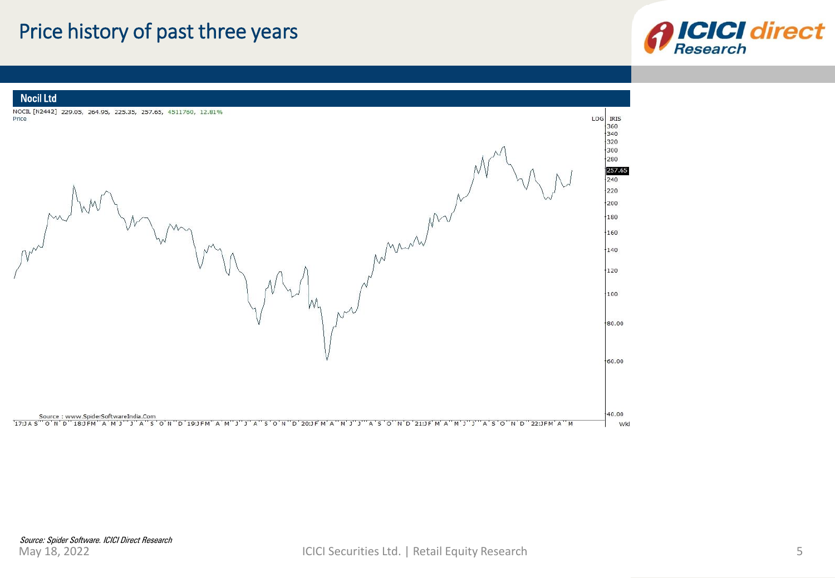#### Price history of past three years



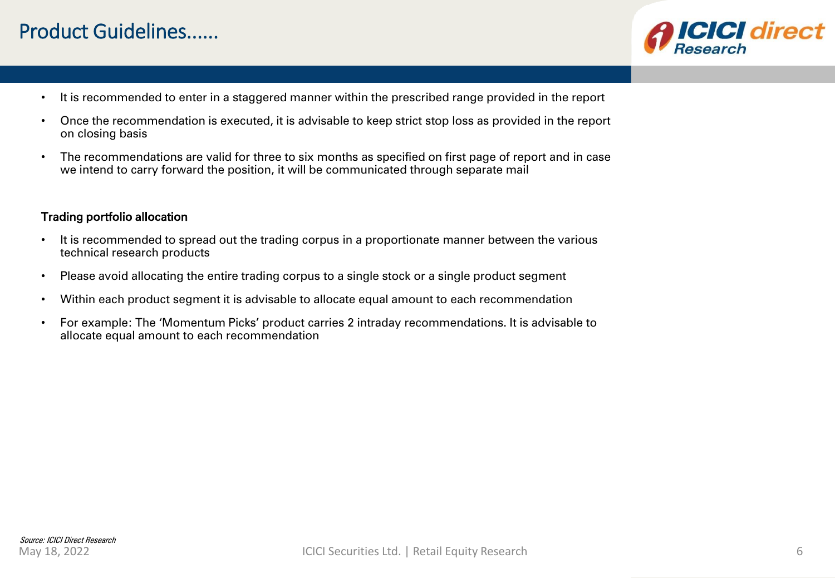#### Product Guidelines......



- It is recommended to enter in a staggered manner within the prescribed range provided in the report
- Once the recommendation is executed, it is advisable to keep strict stop loss as provided in the report on closing basis
- The recommendations are valid for three to six months as specified on first page of report and in case we intend to carry forward the position, it will be communicated through separate mail

#### Trading portfolio allocation

- It is recommended to spread out the trading corpus in a proportionate manner between the various technical research products
- Please avoid allocating the entire trading corpus to a single stock or a single product segment
- Within each product segment it is advisable to allocate equal amount to each recommendation
- For example: The 'Momentum Picks' product carries 2 intraday recommendations. It is advisable to allocate equal amount to each recommendation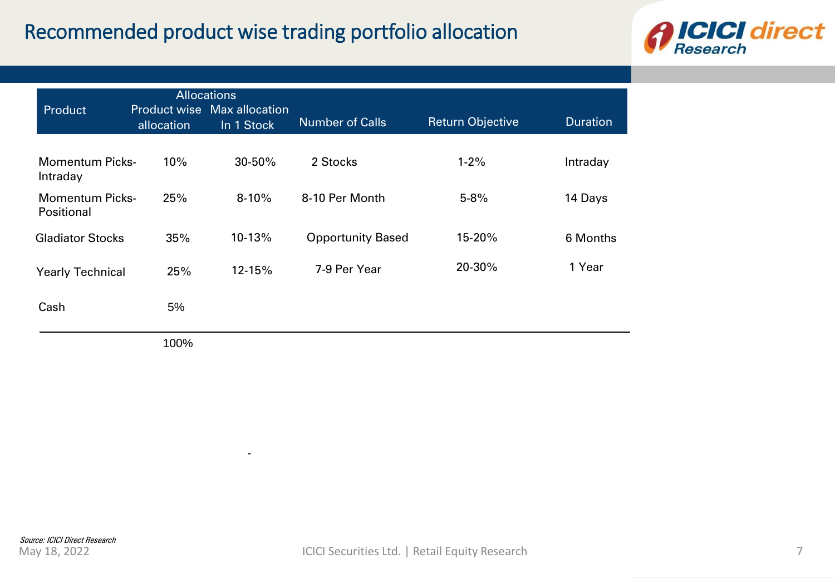### Recommended product wise trading portfolio allocation

-



| Product                              | allocation | <b>Allocations</b><br><b>Product wise Max allocation</b><br>In 1 Stock | <b>Number of Calls</b>   | <b>Return Objective</b> | <b>Duration</b> |
|--------------------------------------|------------|------------------------------------------------------------------------|--------------------------|-------------------------|-----------------|
| Momentum Picks-<br>Intraday          | 10%        | 30-50%                                                                 | 2 Stocks                 | $1 - 2%$                | Intraday        |
| <b>Momentum Picks-</b><br>Positional | 25%        | $8-10%$                                                                | 8-10 Per Month           | $5 - 8%$                | 14 Days         |
| <b>Gladiator Stocks</b>              | 35%        | 10-13%                                                                 | <b>Opportunity Based</b> | 15-20%                  | 6 Months        |
| <b>Yearly Technical</b>              | 25%        | 12-15%                                                                 | 7-9 Per Year             | 20-30%                  | 1 Year          |
| Cash                                 | 5%         |                                                                        |                          |                         |                 |
|                                      | 100%       |                                                                        |                          |                         |                 |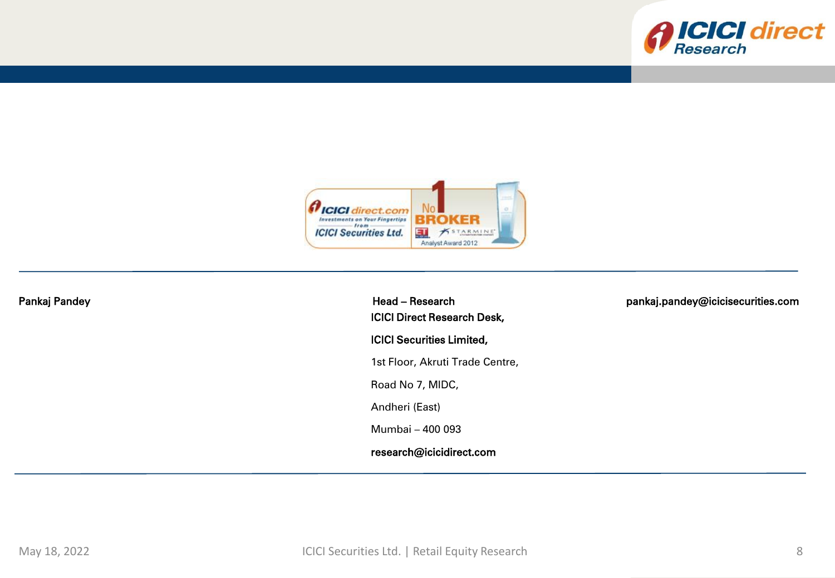



| Pankaj Pandey | Head - Research<br><b>ICICI Direct Research Desk,</b> | pankaj.pandey@icicisecurities.com |
|---------------|-------------------------------------------------------|-----------------------------------|
|               | <b>ICICI Securities Limited,</b>                      |                                   |
|               | 1st Floor, Akruti Trade Centre,                       |                                   |
|               | Road No 7, MIDC,                                      |                                   |
|               | Andheri (East)                                        |                                   |
|               | Mumbai - 400 093                                      |                                   |
|               | research@icicidirect.com                              |                                   |